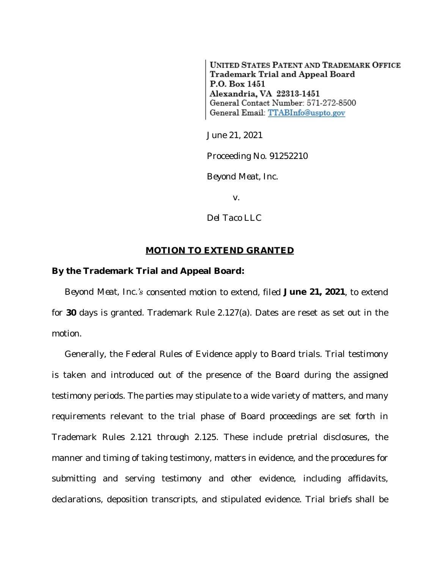**UNITED STATES PATENT AND TRADEMARK OFFICE** Trademark Trial and Appeal Board P.O. Box 1451 Alexandria, VA 22313-1451 General Contact Number: 571-272-8500 General Email: TTABInfo@uspto.gov

June 21, 2021

Proceeding No. 91252210

*Beyond Meat, Inc.*

v.

*Del Taco LLC*

## **MOTION TO EXTEND GRANTED**

## **By the Trademark Trial and Appeal Board:**

*Beyond Meat, Inc.'s* consented motion to extend, filed **June 21, 2021**, to extend for **30** days is granted. Trademark Rule 2.127(a). Dates are reset as set out in the motion.

Generally, the Federal Rules of Evidence apply to Board trials. Trial testimony is taken and introduced out of the presence of the Board during the assigned testimony periods. The parties may stipulate to a wide variety of matters, and many requirements relevant to the trial phase of Board proceedings are set forth in Trademark Rules 2.121 through 2.125. These include pretrial disclosures, the manner and timing of taking testimony, matters in evidence, and the procedures for submitting and serving testimony and other evidence, including affidavits, declarations, deposition transcripts, and stipulated evidence. Trial briefs shall be